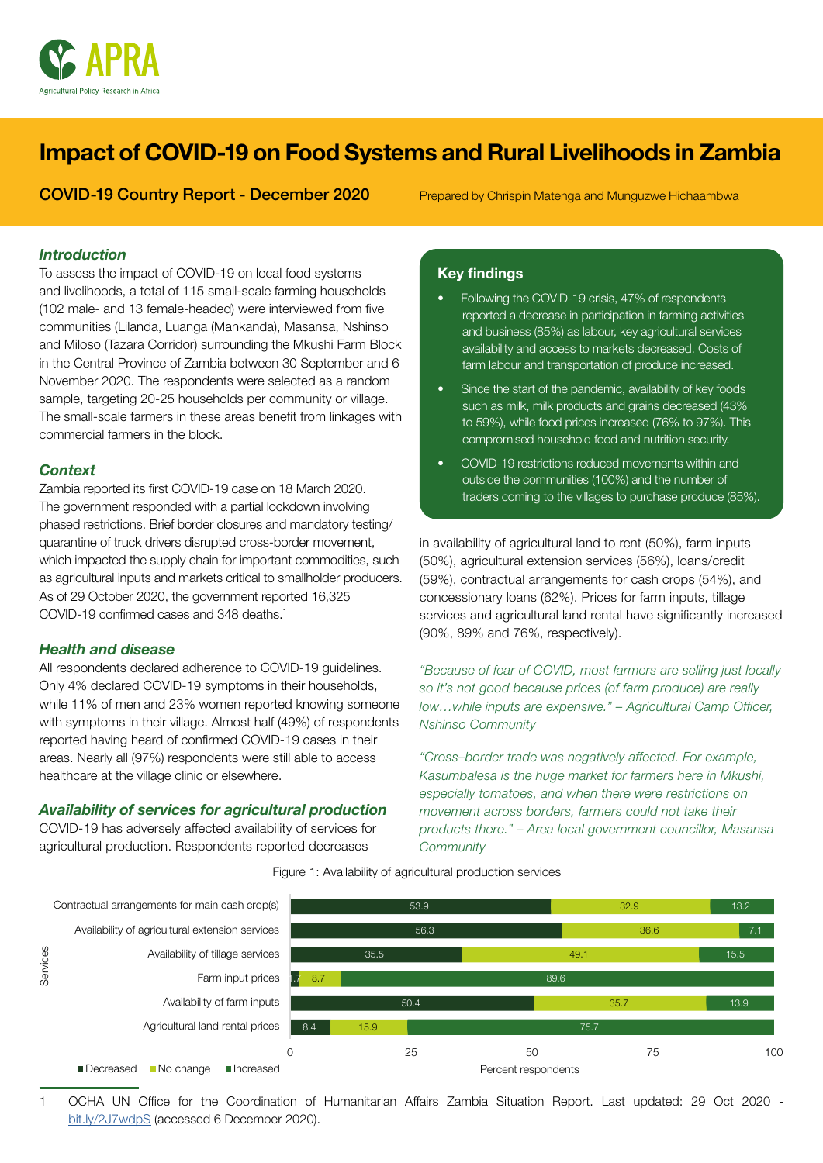

# Impact of COVID-19 on Food Systems and Rural Livelihoods in Zambia

## COVID-19 Country Report - December 2020

Prepared by Chrispin Matenga and Munguzwe Hichaambwa

#### *Introduction*

To assess the impact of COVID-19 on local food systems and livelihoods, a total of 115 small-scale farming households (102 male- and 13 female-headed) were interviewed from five communities (Lilanda, Luanga (Mankanda), Masansa, Nshinso and Miloso (Tazara Corridor) surrounding the Mkushi Farm Block in the Central Province of Zambia between 30 September and 6 November 2020. The respondents were selected as a random sample, targeting 20-25 households per community or village. The small-scale farmers in these areas benefit from linkages with commercial farmers in the block.

#### *Context*

Zambia reported its first COVID-19 case on 18 March 2020. The government responded with a partial lockdown involving phased restrictions. Brief border closures and mandatory testing/ quarantine of truck drivers disrupted cross-border movement, which impacted the supply chain for important commodities, such as agricultural inputs and markets critical to smallholder producers. As of 29 October 2020, the government reported 16,325 COVID-19 confirmed cases and 348 deaths.1

#### *Health and disease*

All respondents declared adherence to COVID-19 guidelines. Only 4% declared COVID-19 symptoms in their households, while 11% of men and 23% women reported knowing someone with symptoms in their village. Almost half (49%) of respondents reported having heard of confirmed COVID-19 cases in their areas. Nearly all (97%) respondents were still able to access healthcare at the village clinic or elsewhere.

#### *Availability of services for agricultural production*

COVID-19 has adversely affected availability of services for agricultural production. Respondents reported decreases

## **Key findings**

- Following the COVID-19 crisis, 47% of respondents reported a decrease in participation in farming activities and business (85%) as labour, key agricultural services availability and access to markets decreased. Costs of farm labour and transportation of produce increased.
- Since the start of the pandemic, availability of key foods such as milk, milk products and grains decreased (43% to 59%), while food prices increased (76% to 97%). This compromised household food and nutrition security.
- COVID-19 restrictions reduced movements within and outside the communities (100%) and the number of traders coming to the villages to purchase produce (85%).

in availability of agricultural land to rent (50%), farm inputs (50%), agricultural extension services (56%), loans/credit (59%), contractual arrangements for cash crops (54%), and concessionary loans (62%). Prices for farm inputs, tillage services and agricultural land rental have significantly increased (90%, 89% and 76%, respectively).

*"Because of fear of COVID, most farmers are selling just locally so it's not good because prices (of farm produce) are really low…while inputs are expensive." – Agricultural Camp Officer, Nshinso Community*

*"Cross–border trade was negatively affected. For example, Kasumbalesa is the huge market for farmers here in Mkushi, especially tomatoes, and when there were restrictions on movement across borders, farmers could not take their products there." – Area local government councillor, Masansa Community*

Figure 1: Availability of agricultural production services



1 OCHA UN Office for the Coordination of Humanitarian Affairs Zambia Situation Report. Last updated: 29 Oct 2020 [bit.ly/2J7wdpS](http://bit.ly/2J7wdpS) (accessed 6 December 2020).